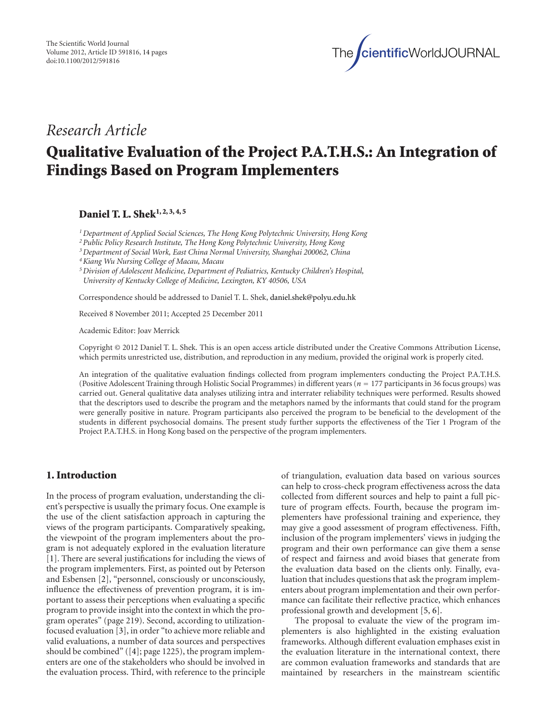

## *Research Article*

# **Qualitative Evaluation of the Project P.A.T.H.S.: An Integration of Findings Based on Program Implementers**

**Daniel T. L. Shek1, 2, 3, 4, 5**

*1Department of Applied Social Sciences, The Hong Kong Polytechnic University, Hong Kong*

*2Public Policy Research Institute, The Hong Kong Polytechnic University, Hong Kong*

*3Department of Social Work, East China Normal University, Shanghai 200062, China*

*4Kiang Wu Nursing College of Macau, Macau*

*5Division of Adolescent Medicine, Department of Pediatrics, Kentucky Children's Hospital, University of Kentucky College of Medicine, Lexington, KY 40506, USA*

Correspondence should be addressed to Daniel T. L. Shek, daniel.shek@polyu.edu.hk

Received 8 November 2011; Accepted 25 December 2011

Academic Editor: Joav Merrick

Copyright © 2012 Daniel T. L. Shek. This is an open access article distributed under the Creative Commons Attribution License, which permits unrestricted use, distribution, and reproduction in any medium, provided the original work is properly cited.

An integration of the qualitative evaluation findings collected from program implementers conducting the Project P.A.T.H.S. (Positive Adolescent Training through Holistic Social Programmes) in different years (*<sup>n</sup> <sup>=</sup>* 177 participants in 36 focus groups) was carried out. General qualitative data analyses utilizing intra and interrater reliability techniques were performed. Results showed that the descriptors used to describe the program and the metaphors named by the informants that could stand for the program were generally positive in nature. Program participants also perceived the program to be beneficial to the development of the students in different psychosocial domains. The present study further supports the effectiveness of the Tier 1 Program of the Project P.A.T.H.S. in Hong Kong based on the perspective of the program implementers.

## **1. Introduction**

In the process of program evaluation, understanding the client's perspective is usually the primary focus. One example is the use of the client satisfaction approach in capturing the views of the program participants. Comparatively speaking, the viewpoint of the program implementers about the program is not adequately explored in the evaluation literature [1]. There are several justifications for including the views of the program implementers. First, as pointed out by Peterson and Esbensen [2], "personnel, consciously or unconsciously, influence the effectiveness of prevention program, it is important to assess their perceptions when evaluating a specific program to provide insight into the context in which the program operates" (page 219). Second, according to utilizationfocused evaluation [3], in order "to achieve more reliable and valid evaluations, a number of data sources and perspectives should be combined" ([4]; page 1225), the program implementers are one of the stakeholders who should be involved in the evaluation process. Third, with reference to the principle

of triangulation, evaluation data based on various sources can help to cross-check program effectiveness across the data collected from different sources and help to paint a full picture of program effects. Fourth, because the program implementers have professional training and experience, they may give a good assessment of program effectiveness. Fifth, inclusion of the program implementers' views in judging the program and their own performance can give them a sense of respect and fairness and avoid biases that generate from the evaluation data based on the clients only. Finally, evaluation that includes questions that ask the program implementers about program implementation and their own performance can facilitate their reflective practice, which enhances professional growth and development [5, 6].

The proposal to evaluate the view of the program implementers is also highlighted in the existing evaluation frameworks. Although different evaluation emphases exist in the evaluation literature in the international context, there are common evaluation frameworks and standards that are maintained by researchers in the mainstream scientific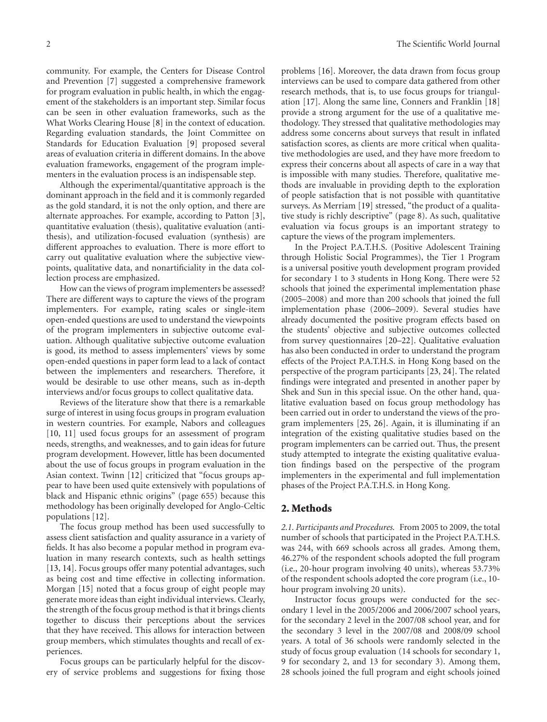community. For example, the Centers for Disease Control and Prevention [7] suggested a comprehensive framework for program evaluation in public health, in which the engagement of the stakeholders is an important step. Similar focus can be seen in other evaluation frameworks, such as the What Works Clearing House [8] in the context of education. Regarding evaluation standards, the Joint Committee on Standards for Education Evaluation [9] proposed several areas of evaluation criteria in different domains. In the above evaluation frameworks, engagement of the program implementers in the evaluation process is an indispensable step.

Although the experimental/quantitative approach is the dominant approach in the field and it is commonly regarded as the gold standard, it is not the only option, and there are alternate approaches. For example, according to Patton [3], quantitative evaluation (thesis), qualitative evaluation (antithesis), and utilization-focused evaluation (synthesis) are different approaches to evaluation. There is more effort to carry out qualitative evaluation where the subjective viewpoints, qualitative data, and nonartificiality in the data collection process are emphasized.

How can the views of program implementers be assessed? There are different ways to capture the views of the program implementers. For example, rating scales or single-item open-ended questions are used to understand the viewpoints of the program implementers in subjective outcome evaluation. Although qualitative subjective outcome evaluation is good, its method to assess implementers' views by some open-ended questions in paper form lead to a lack of contact between the implementers and researchers. Therefore, it would be desirable to use other means, such as in-depth interviews and/or focus groups to collect qualitative data.

Reviews of the literature show that there is a remarkable surge of interest in using focus groups in program evaluation in western countries. For example, Nabors and colleagues [10, 11] used focus groups for an assessment of program needs, strengths, and weaknesses, and to gain ideas for future program development. However, little has been documented about the use of focus groups in program evaluation in the Asian context. Twinn [12] criticized that "focus groups appear to have been used quite extensively with populations of black and Hispanic ethnic origins" (page 655) because this methodology has been originally developed for Anglo-Celtic populations [12].

The focus group method has been used successfully to assess client satisfaction and quality assurance in a variety of fields. It has also become a popular method in program evaluation in many research contexts, such as health settings [13, 14]. Focus groups offer many potential advantages, such as being cost and time effective in collecting information. Morgan [15] noted that a focus group of eight people may generate more ideas than eight individual interviews. Clearly, the strength of the focus group method is that it brings clients together to discuss their perceptions about the services that they have received. This allows for interaction between group members, which stimulates thoughts and recall of experiences.

Focus groups can be particularly helpful for the discovery of service problems and suggestions for fixing those

problems [16]. Moreover, the data drawn from focus group interviews can be used to compare data gathered from other research methods, that is, to use focus groups for triangulation [17]. Along the same line, Conners and Franklin [18] provide a strong argument for the use of a qualitative methodology. They stressed that qualitative methodologies may address some concerns about surveys that result in inflated satisfaction scores, as clients are more critical when qualitative methodologies are used, and they have more freedom to express their concerns about all aspects of care in a way that is impossible with many studies. Therefore, qualitative methods are invaluable in providing depth to the exploration of people satisfaction that is not possible with quantitative surveys. As Merriam [19] stressed, "the product of a qualitative study is richly descriptive" (page 8). As such, qualitative evaluation via focus groups is an important strategy to capture the views of the program implementers.

In the Project P.A.T.H.S. (Positive Adolescent Training through Holistic Social Programmes), the Tier 1 Program is a universal positive youth development program provided for secondary 1 to 3 students in Hong Kong. There were 52 schools that joined the experimental implementation phase (2005–2008) and more than 200 schools that joined the full implementation phase (2006–2009). Several studies have already documented the positive program effects based on the students' objective and subjective outcomes collected from survey questionnaires [20–22]. Qualitative evaluation has also been conducted in order to understand the program effects of the Project P.A.T.H.S. in Hong Kong based on the perspective of the program participants [23, 24]. The related findings were integrated and presented in another paper by Shek and Sun in this special issue. On the other hand, qualitative evaluation based on focus group methodology has been carried out in order to understand the views of the program implementers [25, 26]. Again, it is illuminating if an integration of the existing qualitative studies based on the program implementers can be carried out. Thus, the present study attempted to integrate the existing qualitative evaluation findings based on the perspective of the program implementers in the experimental and full implementation phases of the Project P.A.T.H.S. in Hong Kong.

## **2. Methods**

*2.1. Participants and Procedures.* From 2005 to 2009, the total number of schools that participated in the Project P.A.T.H.S. was 244, with 669 schools across all grades. Among them, 46.27% of the respondent schools adopted the full program (i.e., 20-hour program involving 40 units), whereas 53.73% of the respondent schools adopted the core program (i.e., 10 hour program involving 20 units).

Instructor focus groups were conducted for the secondary 1 level in the 2005/2006 and 2006/2007 school years, for the secondary 2 level in the 2007/08 school year, and for the secondary 3 level in the 2007/08 and 2008/09 school years. A total of 36 schools were randomly selected in the study of focus group evaluation (14 schools for secondary 1, 9 for secondary 2, and 13 for secondary 3). Among them, 28 schools joined the full program and eight schools joined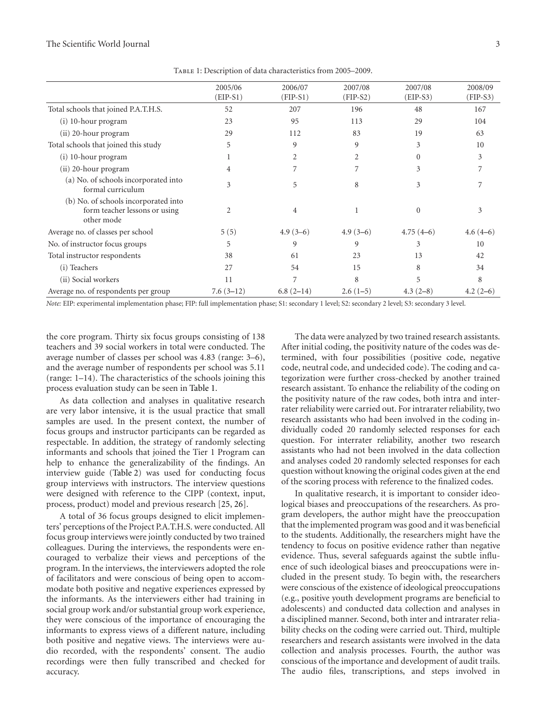|                                                                                     | 2005/06<br>$(EIP-S1)$ | 2006/07<br>$(FIP-S1)$ | 2007/08<br>$(FIP-S2)$ | 2007/08<br>$(EIP-S3)$ | 2008/09<br>$(FIP-S3)$ |
|-------------------------------------------------------------------------------------|-----------------------|-----------------------|-----------------------|-----------------------|-----------------------|
|                                                                                     |                       |                       |                       |                       |                       |
| Total schools that joined P.A.T.H.S.                                                | 52                    | 207                   | 196                   | 48                    | 167                   |
| (i) 10-hour program                                                                 | 23                    | 95                    | 113                   | 29                    | 104                   |
| (ii) 20-hour program                                                                | 29                    | 112                   | 83                    | 19                    | 63                    |
| Total schools that joined this study                                                | 5                     | 9                     | 9                     | 3                     | 10                    |
| (i) 10-hour program                                                                 |                       | 2                     | 2                     | $\Omega$              | 3                     |
| (ii) 20-hour program                                                                | 4                     |                       |                       | 3                     |                       |
| (a) No. of schools incorporated into<br>formal curriculum                           | 3                     | 5                     | 8                     | 3                     |                       |
| (b) No. of schools incorporated into<br>form teacher lessons or using<br>other mode | 2                     | 4                     |                       | $\Omega$              | 3                     |
| Average no. of classes per school                                                   | 5(5)                  | $4.9(3-6)$            | $4.9(3-6)$            | $4.75(4-6)$           | $4.6(4-6)$            |
| No. of instructor focus groups                                                      | 5                     | 9                     | 9                     | 3                     | 10                    |
| Total instructor respondents                                                        | 38                    | 61                    | 23                    | 13                    | 42                    |
| (i) Teachers                                                                        | 27                    | 54                    | 15                    | 8                     | 34                    |
| (ii) Social workers                                                                 | 11                    |                       | 8                     | 5                     | 8                     |
| Average no. of respondents per group                                                | $7.6(3-12)$           | $6.8(2-14)$           | $2.6(1-5)$            | $4.3(2-8)$            | $4.2(2-6)$            |

Table 1: Description of data characteristics from 2005–2009.

*Note:* EIP: experimental implementation phase; FIP: full implementation phase; S1: secondary 1 level; S2: secondary 2 level; S3: secondary 3 level.

the core program. Thirty six focus groups consisting of 138 teachers and 39 social workers in total were conducted. The average number of classes per school was 4.83 (range: 3–6), and the average number of respondents per school was 5.11 (range: 1–14). The characteristics of the schools joining this process evaluation study can be seen in Table 1.

As data collection and analyses in qualitative research are very labor intensive, it is the usual practice that small samples are used. In the present context, the number of focus groups and instructor participants can be regarded as respectable. In addition, the strategy of randomly selecting informants and schools that joined the Tier 1 Program can help to enhance the generalizability of the findings. An interview guide (Table 2) was used for conducting focus group interviews with instructors. The interview questions were designed with reference to the CIPP (context, input, process, product) model and previous research [25, 26].

A total of 36 focus groups designed to elicit implementers' perceptions of the Project P.A.T.H.S. were conducted. All focus group interviews were jointly conducted by two trained colleagues. During the interviews, the respondents were encouraged to verbalize their views and perceptions of the program. In the interviews, the interviewers adopted the role of facilitators and were conscious of being open to accommodate both positive and negative experiences expressed by the informants. As the interviewers either had training in social group work and/or substantial group work experience, they were conscious of the importance of encouraging the informants to express views of a different nature, including both positive and negative views. The interviews were audio recorded, with the respondents' consent. The audio recordings were then fully transcribed and checked for accuracy.

The data were analyzed by two trained research assistants. After initial coding, the positivity nature of the codes was determined, with four possibilities (positive code, negative code, neutral code, and undecided code). The coding and categorization were further cross-checked by another trained research assistant. To enhance the reliability of the coding on the positivity nature of the raw codes, both intra and interrater reliability were carried out. For intrarater reliability, two research assistants who had been involved in the coding individually coded 20 randomly selected responses for each question. For interrater reliability, another two research assistants who had not been involved in the data collection and analyses coded 20 randomly selected responses for each question without knowing the original codes given at the end of the scoring process with reference to the finalized codes.

In qualitative research, it is important to consider ideological biases and preoccupations of the researchers. As program developers, the author might have the preoccupation that the implemented program was good and it was beneficial to the students. Additionally, the researchers might have the tendency to focus on positive evidence rather than negative evidence. Thus, several safeguards against the subtle influence of such ideological biases and preoccupations were included in the present study. To begin with, the researchers were conscious of the existence of ideological preoccupations (e.g., positive youth development programs are beneficial to adolescents) and conducted data collection and analyses in a disciplined manner. Second, both inter and intrarater reliability checks on the coding were carried out. Third, multiple researchers and research assistants were involved in the data collection and analysis processes. Fourth, the author was conscious of the importance and development of audit trails. The audio files, transcriptions, and steps involved in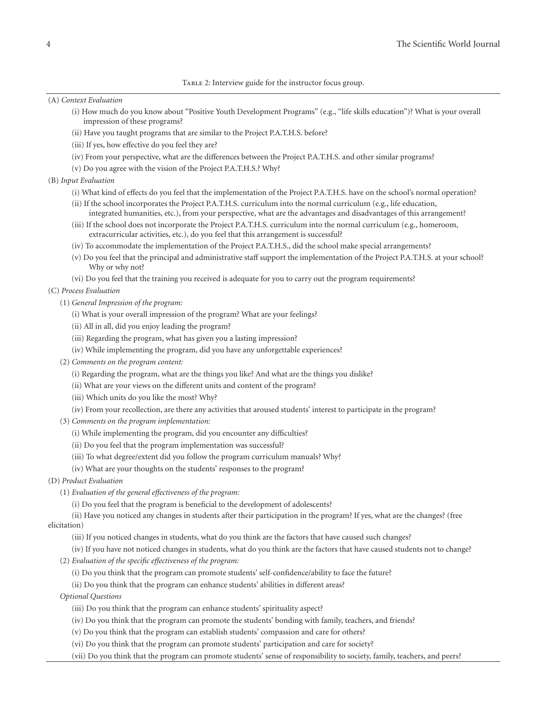(A) *Context Evaluation*

- (i) How much do you know about "Positive Youth Development Programs" (e.g., "life skills education")? What is your overall impression of these programs?
- (ii) Have you taught programs that are similar to the Project P.A.T.H.S. before?
- (iii) If yes, how effective do you feel they are?
- (iv) From your perspective, what are the differences between the Project P.A.T.H.S. and other similar programs?
- (v) Do you agree with the vision of the Project P.A.T.H.S.? Why?
- (B) *Input Evaluation*
	- (i) What kind of effects do you feel that the implementation of the Project P.A.T.H.S. have on the school's normal operation?
	- (ii) If the school incorporates the Project P.A.T.H.S. curriculum into the normal curriculum (e.g., life education, integrated humanities, etc.), from your perspective, what are the advantages and disadvantages of this arrangement?
	- (iii) If the school does not incorporate the Project P.A.T.H.S. curriculum into the normal curriculum (e.g., homeroom, extracurricular activities, etc.), do you feel that this arrangement is successful?
	- (iv) To accommodate the implementation of the Project P.A.T.H.S., did the school make special arrangements?
	- (v) Do you feel that the principal and administrative staff support the implementation of the Project P.A.T.H.S. at your school? Why or why not?
	- (vi) Do you feel that the training you received is adequate for you to carry out the program requirements?
- (C) *Process Evaluation*
	- (1) *General Impression of the program:*
		- (i) What is your overall impression of the program? What are your feelings?
		- (ii) All in all, did you enjoy leading the program?
		- (iii) Regarding the program, what has given you a lasting impression?
		- (iv) While implementing the program, did you have any unforgettable experiences?
	- (2) *Comments on the program content:*
		- (i) Regarding the program, what are the things you like? And what are the things you dislike?
		- (ii) What are your views on the different units and content of the program?
		- (iii) Which units do you like the most? Why?
		- (iv) From your recollection, are there any activities that aroused students' interest to participate in the program?
	- (3) *Comments on the program implementation:*
		- (i) While implementing the program, did you encounter any difficulties?
		- (ii) Do you feel that the program implementation was successful?
		- (iii) To what degree/extent did you follow the program curriculum manuals? Why?
		- (iv) What are your thoughts on the students' responses to the program?
- (D) *Product Evaluation*
	- (1) *Evaluation of the general effectiveness of the program:*
		- (i) Do you feel that the program is beneficial to the development of adolescents?
- (ii) Have you noticed any changes in students after their participation in the program? If yes, what are the changes? (free elicitation)
	- (iii) If you noticed changes in students, what do you think are the factors that have caused such changes?
	- (iv) If you have not noticed changes in students, what do you think are the factors that have caused students not to change?
	- (2) *Evaluation of the specific effectiveness of the program:*
		- (i) Do you think that the program can promote students' self-confidence/ability to face the future?
		- (ii) Do you think that the program can enhance students' abilities in different areas?
	- *Optional Questions*
		- (iii) Do you think that the program can enhance students' spirituality aspect?
		- (iv) Do you think that the program can promote the students' bonding with family, teachers, and friends?
		- (v) Do you think that the program can establish students' compassion and care for others?
		- (vi) Do you think that the program can promote students' participation and care for society?

(vii) Do you think that the program can promote students' sense of responsibility to society, family, teachers, and peers?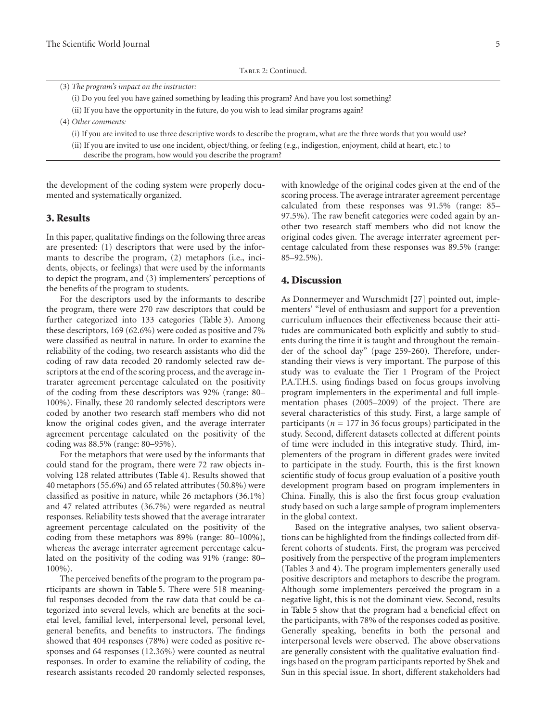#### (3) *The program's impact on the instructor:*

(i) Do you feel you have gained something by leading this program? And have you lost something?

(ii) If you have the opportunity in the future, do you wish to lead similar programs again?

(4) *Other comments:*

- (i) If you are invited to use three descriptive words to describe the program, what are the three words that you would use?
- (ii) If you are invited to use one incident, object/thing, or feeling (e.g., indigestion, enjoyment, child at heart, etc.) to
- describe the program, how would you describe the program?

the development of the coding system were properly documented and systematically organized.

#### **3. Results**

In this paper, qualitative findings on the following three areas are presented: (1) descriptors that were used by the informants to describe the program, (2) metaphors (i.e., incidents, objects, or feelings) that were used by the informants to depict the program, and (3) implementers' perceptions of the benefits of the program to students.

For the descriptors used by the informants to describe the program, there were 270 raw descriptors that could be further categorized into 133 categories (Table 3). Among these descriptors, 169 (62.6%) were coded as positive and 7% were classified as neutral in nature. In order to examine the reliability of the coding, two research assistants who did the coding of raw data recoded 20 randomly selected raw descriptors at the end of the scoring process, and the average intrarater agreement percentage calculated on the positivity of the coding from these descriptors was 92% (range: 80– 100%). Finally, these 20 randomly selected descriptors were coded by another two research staff members who did not know the original codes given, and the average interrater agreement percentage calculated on the positivity of the coding was 88.5% (range: 80–95%).

For the metaphors that were used by the informants that could stand for the program, there were 72 raw objects involving 128 related attributes (Table 4). Results showed that 40 metaphors (55.6%) and 65 related attributes (50.8%) were classified as positive in nature, while 26 metaphors (36.1%) and 47 related attributes (36.7%) were regarded as neutral responses. Reliability tests showed that the average intrarater agreement percentage calculated on the positivity of the coding from these metaphors was 89% (range: 80–100%), whereas the average interrater agreement percentage calculated on the positivity of the coding was 91% (range: 80– 100%).

The perceived benefits of the program to the program participants are shown in Table 5. There were 518 meaningful responses decoded from the raw data that could be categorized into several levels, which are benefits at the societal level, familial level, interpersonal level, personal level, general benefits, and benefits to instructors. The findings showed that 404 responses (78%) were coded as positive responses and 64 responses (12.36%) were counted as neutral responses. In order to examine the reliability of coding, the research assistants recoded 20 randomly selected responses,

with knowledge of the original codes given at the end of the scoring process. The average intrarater agreement percentage calculated from these responses was 91.5% (range: 85– 97.5%). The raw benefit categories were coded again by another two research staff members who did not know the original codes given. The average interrater agreement percentage calculated from these responses was 89.5% (range: 85–92.5%).

## **4. Discussion**

As Donnermeyer and Wurschmidt [27] pointed out, implementers' "level of enthusiasm and support for a prevention curriculum influences their effectiveness because their attitudes are communicated both explicitly and subtly to students during the time it is taught and throughout the remainder of the school day" (page 259-260). Therefore, understanding their views is very important. The purpose of this study was to evaluate the Tier 1 Program of the Project P.A.T.H.S. using findings based on focus groups involving program implementers in the experimental and full implementation phases (2005–2009) of the project. There are several characteristics of this study. First, a large sample of participants ( $n = 177$  in 36 focus groups) participated in the study. Second, different datasets collected at different points of time were included in this integrative study. Third, implementers of the program in different grades were invited to participate in the study. Fourth, this is the first known scientific study of focus group evaluation of a positive youth development program based on program implementers in China. Finally, this is also the first focus group evaluation study based on such a large sample of program implementers in the global context.

Based on the integrative analyses, two salient observations can be highlighted from the findings collected from different cohorts of students. First, the program was perceived positively from the perspective of the program implementers (Tables 3 and 4). The program implementers generally used positive descriptors and metaphors to describe the program. Although some implementers perceived the program in a negative light, this is not the dominant view. Second, results in Table 5 show that the program had a beneficial effect on the participants, with 78% of the responses coded as positive. Generally speaking, benefits in both the personal and interpersonal levels were observed. The above observations are generally consistent with the qualitative evaluation findings based on the program participants reported by Shek and Sun in this special issue. In short, different stakeholders had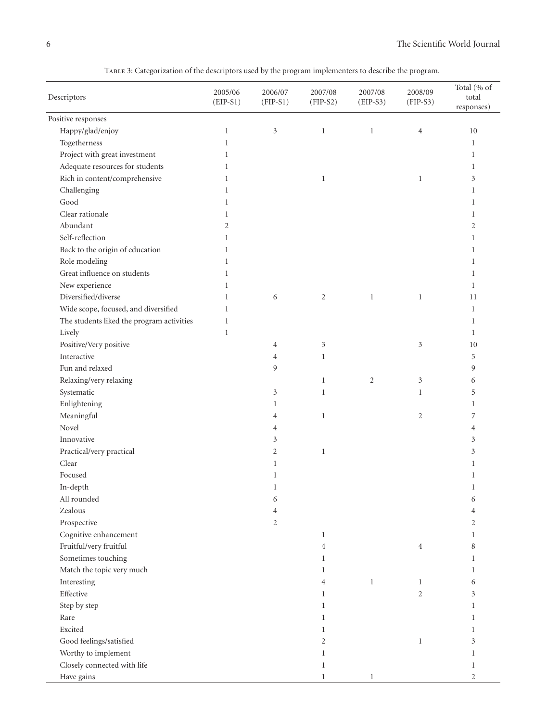| Descriptors                               | 2005/06<br>$(EIP-S1)$ | 2006/07<br>$(FIP-S1)$ | 2007/08<br>$(FIP-S2)$ | 2007/08<br>$(EIP-S3)$ | 2008/09<br>$(FIP-S3)$ | Total (% of<br>total<br>responses) |
|-------------------------------------------|-----------------------|-----------------------|-----------------------|-----------------------|-----------------------|------------------------------------|
| Positive responses                        |                       |                       |                       |                       |                       |                                    |
| Happy/glad/enjoy                          | $\mathbf{1}$          | 3                     | $\mathbf{1}$          | $\mathbf{1}$          | 4                     | 10                                 |
| Togetherness                              | $\mathbf{1}$          |                       |                       |                       |                       | $\mathbf{1}$                       |
| Project with great investment             | 1                     |                       |                       |                       |                       | 1                                  |
| Adequate resources for students           | 1                     |                       |                       |                       |                       | 1                                  |
| Rich in content/comprehensive             | 1                     |                       | $\mathbf{1}$          |                       | $\mathbf{1}$          | 3                                  |
| Challenging                               | 1                     |                       |                       |                       |                       | 1                                  |
| Good                                      | 1                     |                       |                       |                       |                       | 1                                  |
| Clear rationale                           | 1                     |                       |                       |                       |                       | 1                                  |
| Abundant                                  | 2                     |                       |                       |                       |                       | 2                                  |
| Self-reflection                           | 1                     |                       |                       |                       |                       | 1                                  |
| Back to the origin of education           | 1                     |                       |                       |                       |                       | 1                                  |
| Role modeling                             | 1                     |                       |                       |                       |                       | 1                                  |
| Great influence on students               | 1                     |                       |                       |                       |                       | 1                                  |
| New experience                            | 1                     |                       |                       |                       |                       | 1                                  |
| Diversified/diverse                       | 1                     | 6                     | 2                     | $\mathbf{1}$          | $\mathbf{1}$          | 11                                 |
| Wide scope, focused, and diversified      | 1                     |                       |                       |                       |                       | $\mathbf{1}$                       |
| The students liked the program activities | $\mathbf{1}$          |                       |                       |                       |                       | 1                                  |
| Lively                                    | 1                     |                       |                       |                       |                       | 1                                  |
| Positive/Very positive                    |                       | $\overline{4}$        | 3                     |                       | 3                     | 10                                 |
| Interactive                               |                       | 4                     | $\mathbf{1}$          |                       |                       | 5                                  |
| Fun and relaxed                           |                       | 9                     |                       |                       |                       | 9                                  |
| Relaxing/very relaxing                    |                       |                       | $\mathbf{1}$          | $\overline{2}$        | 3                     | 6                                  |
| Systematic                                |                       | 3                     | $\mathbf{1}$          |                       | $\mathbf{1}$          | 5                                  |
| Enlightening                              |                       | 1                     |                       |                       |                       | 1                                  |
| Meaningful                                |                       | 4                     | $\mathbf{1}$          |                       | $\overline{2}$        | 7                                  |
| Novel                                     |                       | 4                     |                       |                       |                       | 4                                  |
| Innovative                                |                       | 3                     |                       |                       |                       | 3                                  |
| Practical/very practical                  |                       | 2                     | $\mathbf{1}$          |                       |                       | 3                                  |
| Clear                                     |                       | 1                     |                       |                       |                       | 1                                  |
| Focused                                   |                       | 1                     |                       |                       |                       | 1                                  |
| In-depth                                  |                       | 1                     |                       |                       |                       | 1                                  |
| All rounded                               |                       | 6                     |                       |                       |                       | 6                                  |
| Zealous                                   |                       | $\overline{4}$        |                       |                       |                       | 4                                  |
| Prospective                               |                       | 2                     |                       |                       |                       | 2                                  |
| Cognitive enhancement                     |                       |                       | $\mathbf{1}$          |                       |                       | 1                                  |
| Fruitful/very fruitful                    |                       |                       | 4                     |                       | 4                     | 8                                  |
| Sometimes touching                        |                       |                       | $\mathbf{1}$          |                       |                       | 1                                  |
| Match the topic very much                 |                       |                       | 1                     |                       |                       | 1                                  |
| Interesting                               |                       |                       | 4                     | $\mathbf{1}$          | $\mathbf{1}$          | 6                                  |
| Effective                                 |                       |                       | $\mathbf{1}$          |                       | 2                     | 3                                  |
| Step by step                              |                       |                       | $\mathbf{1}$          |                       |                       | 1                                  |
| Rare                                      |                       |                       | $\mathbf{1}$          |                       |                       | 1                                  |
| Excited                                   |                       |                       | $\mathbf{1}$          |                       |                       | 1                                  |
| Good feelings/satisfied                   |                       |                       | $\overline{2}$        |                       | $\mathbf{1}$          | 3                                  |
| Worthy to implement                       |                       |                       | $\mathbf{1}$          |                       |                       | 1                                  |
| Closely connected with life               |                       |                       | $\mathbf{1}$          |                       |                       | 1                                  |
| Have gains                                |                       |                       | $\mathbf{1}$          | $\mathbf{1}$          |                       | $\overline{c}$                     |

Table 3: Categorization of the descriptors used by the program implementers to describe the program.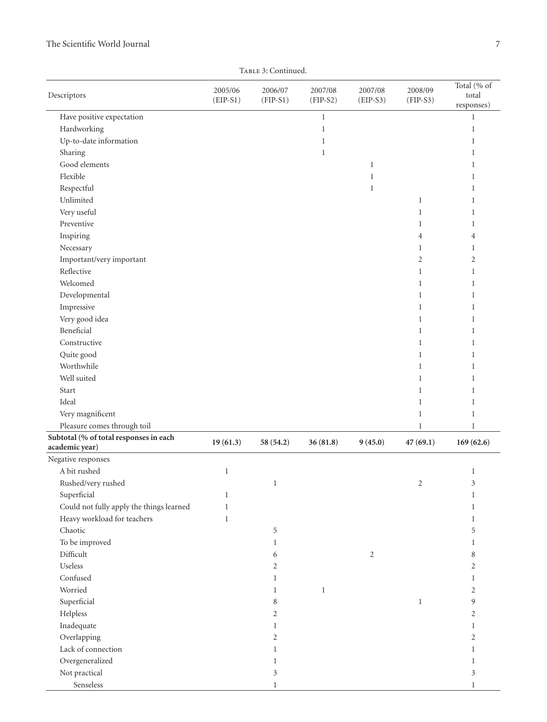## The Scientific World Journal 7

|                                          |                       | TABLE 3: Continued.   |                       |                       |                       |                                    |
|------------------------------------------|-----------------------|-----------------------|-----------------------|-----------------------|-----------------------|------------------------------------|
| Descriptors                              | 2005/06<br>$(EIP-S1)$ | 2006/07<br>$(FIP-S1)$ | 2007/08<br>$(FIP-S2)$ | 2007/08<br>$(EIP-S3)$ | 2008/09<br>$(FIP-S3)$ | Total (% of<br>total<br>responses) |
| Have positive expectation                |                       |                       | $\mathbf{1}$          |                       |                       | 1                                  |
| Hardworking                              |                       |                       | $\mathbf{1}$          |                       |                       | 1                                  |
| Up-to-date information                   |                       |                       | $\mathbf{1}$          |                       |                       | $\mathbf{1}$                       |
| Sharing                                  |                       |                       | 1                     |                       |                       | 1                                  |
| Good elements                            |                       |                       |                       | 1                     |                       | 1                                  |
| Flexible                                 |                       |                       |                       | $\mathbf{1}$          |                       | 1                                  |
| Respectful                               |                       |                       |                       | $\mathbf{1}$          |                       | 1                                  |
| Unlimited                                |                       |                       |                       |                       | $\mathbf{1}$          | $\mathbf{1}$                       |
| Very useful                              |                       |                       |                       |                       | $\mathbf{1}$          | 1                                  |
| Preventive                               |                       |                       |                       |                       | 1                     | 1                                  |
| Inspiring                                |                       |                       |                       |                       | 4                     | 4                                  |
| Necessary                                |                       |                       |                       |                       | 1                     | 1                                  |
| Important/very important                 |                       |                       |                       |                       | $\overline{2}$        | 2                                  |
| Reflective                               |                       |                       |                       |                       | 1                     | $\mathbf{1}$                       |
| Welcomed                                 |                       |                       |                       |                       | 1                     | 1                                  |
| Developmental                            |                       |                       |                       |                       | 1                     | 1                                  |
| Impressive                               |                       |                       |                       |                       | 1                     | 1                                  |
| Very good idea                           |                       |                       |                       |                       | 1                     | 1                                  |
| Beneficial                               |                       |                       |                       |                       | 1                     | 1                                  |
| Constructive                             |                       |                       |                       |                       | 1                     | 1                                  |
| Quite good                               |                       |                       |                       |                       | 1                     | 1                                  |
| Worthwhile                               |                       |                       |                       |                       | 1                     | 1                                  |
| Well suited                              |                       |                       |                       |                       | 1                     | 1                                  |
| Start                                    |                       |                       |                       |                       | 1                     | 1                                  |
| Ideal                                    |                       |                       |                       |                       | 1                     | $\mathbf{1}$                       |
| Very magnificent                         |                       |                       |                       |                       | $\mathbf 1$           | $\mathbf{1}$                       |
| Pleasure comes through toil              |                       |                       |                       |                       | $\mathbf 1$           | 1                                  |
| Subtotal (% of total responses in each   |                       |                       |                       |                       |                       |                                    |
| academic year)                           | 19(61.3)              | 58 (54.2)             | 36(81.8)              | 9(45.0)               | 47(69.1)              | 169(62.6)                          |
| Negative responses                       |                       |                       |                       |                       |                       |                                    |
| A bit rushed                             | $\mathbf{1}$          |                       |                       |                       |                       | $\mathbf{1}$                       |
| Rushed/very rushed                       |                       | $\mathbf{1}$          |                       |                       | $\overline{2}$        | 3                                  |
| Superficial                              | 1                     |                       |                       |                       |                       | 1                                  |
| Could not fully apply the things learned | $\mathbf{1}$          |                       |                       |                       |                       | $\mathbf{1}$                       |
| Heavy workload for teachers              | $\mathbf{1}$          |                       |                       |                       |                       | 1                                  |
| Chaotic                                  |                       | 5                     |                       |                       |                       | 5                                  |
| To be improved                           |                       | $\mathbf{1}$          |                       |                       |                       | 1                                  |
| Difficult                                |                       | 6                     |                       | $\overline{c}$        |                       | 8                                  |
| Useless                                  |                       | $\overline{c}$        |                       |                       |                       | $\overline{2}$                     |
| Confused                                 |                       | $\mathbf{1}$          |                       |                       |                       | $\mathbf{1}$                       |
| Worried                                  |                       | $\mathbf{1}$          | $\mathbf{1}$          |                       |                       | $\overline{2}$                     |
| Superficial                              |                       | 8                     |                       |                       | $\mathbf{1}$          | 9                                  |
| Helpless                                 |                       | $\overline{2}$        |                       |                       |                       | 2                                  |
| Inadequate                               |                       | $\mathbf{1}$          |                       |                       |                       | 1                                  |
| Overlapping                              |                       | $\overline{2}$        |                       |                       |                       | $\overline{2}$                     |
| Lack of connection                       |                       | $\mathbf{1}$          |                       |                       |                       | 1                                  |
| Overgeneralized                          |                       | $\mathbf{1}$          |                       |                       |                       | 1                                  |
| Not practical                            |                       | 3                     |                       |                       |                       | 3                                  |
| Senseless                                |                       | $\mathbf{1}$          |                       |                       |                       | 1                                  |
|                                          |                       |                       |                       |                       |                       |                                    |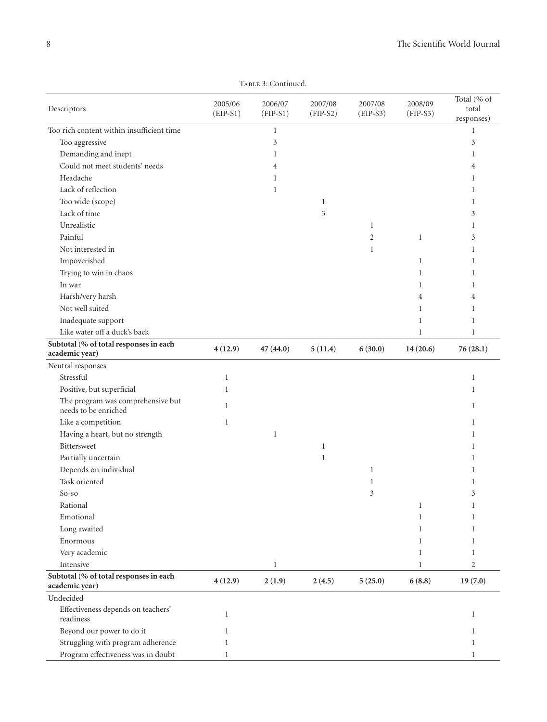| Descriptors                                               | 2005/06<br>$(EIP-S1)$ | 2006/07<br>$(FIP-S1)$ | 2007/08<br>$(FIP-S2)$ | 2007/08<br>$(EIP-S3)$ | 2008/09<br>$(FIP-S3)$ | Total (% of<br>total<br>responses) |
|-----------------------------------------------------------|-----------------------|-----------------------|-----------------------|-----------------------|-----------------------|------------------------------------|
| Too rich content within insufficient time                 |                       | $\mathbf{1}$          |                       |                       |                       | 1                                  |
| Too aggressive                                            |                       | 3                     |                       |                       |                       | 3                                  |
| Demanding and inept                                       |                       | 1                     |                       |                       |                       | 1                                  |
| Could not meet students' needs                            |                       | $\overline{4}$        |                       |                       |                       | 4                                  |
| Headache                                                  |                       | 1                     |                       |                       |                       | 1                                  |
| Lack of reflection                                        |                       | 1                     |                       |                       |                       | 1                                  |
| Too wide (scope)                                          |                       |                       | $\mathbf{1}$          |                       |                       | 1                                  |
| Lack of time                                              |                       |                       | 3                     |                       |                       | 3                                  |
| Unrealistic                                               |                       |                       |                       | 1                     |                       | 1                                  |
| Painful                                                   |                       |                       |                       | $\overline{2}$        | 1                     | 3                                  |
| Not interested in                                         |                       |                       |                       | 1                     |                       | 1                                  |
| Impoverished                                              |                       |                       |                       |                       | 1                     | 1                                  |
| Trying to win in chaos                                    |                       |                       |                       |                       | 1                     | 1                                  |
| In war                                                    |                       |                       |                       |                       | 1                     | 1                                  |
| Harsh/very harsh                                          |                       |                       |                       |                       | 4                     | 4                                  |
| Not well suited                                           |                       |                       |                       |                       | 1                     | 1                                  |
| Inadequate support                                        |                       |                       |                       |                       | 1                     | 1                                  |
| Like water off a duck's back                              |                       |                       |                       |                       | 1                     | 1                                  |
| Subtotal (% of total responses in each<br>academic year)  | 4(12.9)               | 47 (44.0)             | 5(11.4)               | 6(30.0)               | 14(20.6)              | 76(28.1)                           |
| Neutral responses                                         |                       |                       |                       |                       |                       |                                    |
| Stressful                                                 | 1                     |                       |                       |                       |                       | $\mathbf{1}$                       |
| Positive, but superficial                                 | 1                     |                       |                       |                       |                       | 1                                  |
| The program was comprehensive but<br>needs to be enriched | 1                     |                       |                       |                       |                       | 1                                  |
| Like a competition                                        | 1                     |                       |                       |                       |                       | 1                                  |
| Having a heart, but no strength                           |                       | $\mathbf{1}$          |                       |                       |                       | 1                                  |
| Bittersweet                                               |                       |                       | $\mathbf{1}$          |                       |                       | 1                                  |
| Partially uncertain                                       |                       |                       | $\mathbf{1}$          |                       |                       | 1                                  |
| Depends on individual                                     |                       |                       |                       | 1                     |                       | 1                                  |
| Task oriented                                             |                       |                       |                       | $\mathbf{1}$          |                       | 1                                  |
| $So$ -so                                                  |                       |                       |                       | 3                     |                       | 3                                  |
| Rational                                                  |                       |                       |                       |                       | $\mathbf{1}$          | $\mathbf{1}$                       |
| Emotional                                                 |                       |                       |                       |                       | 1                     | 1                                  |
| Long awaited                                              |                       |                       |                       |                       | 1                     | 1                                  |
| Enormous                                                  |                       |                       |                       |                       | 1                     | 1                                  |
| Very academic                                             |                       |                       |                       |                       | 1                     | 1                                  |
| Intensive                                                 |                       | $\mathbf{1}$          |                       |                       | 1                     | $\overline{c}$                     |
| Subtotal (% of total responses in each<br>academic year)  | 4(12.9)               | 2(1.9)                | 2(4.5)                | 5(25.0)               | 6(8.8)                | 19(7.0)                            |
| Undecided                                                 |                       |                       |                       |                       |                       |                                    |
| Effectiveness depends on teachers'<br>readiness           | $\mathbf{1}$          |                       |                       |                       |                       | $\mathbf{1}$                       |
| Beyond our power to do it                                 | 1                     |                       |                       |                       |                       | 1                                  |
| Struggling with program adherence                         | 1                     |                       |                       |                       |                       | $\mathbf{1}$                       |
| Program effectiveness was in doubt                        | 1                     |                       |                       |                       |                       | $\mathbf{1}$                       |

TABLE 3: Continued.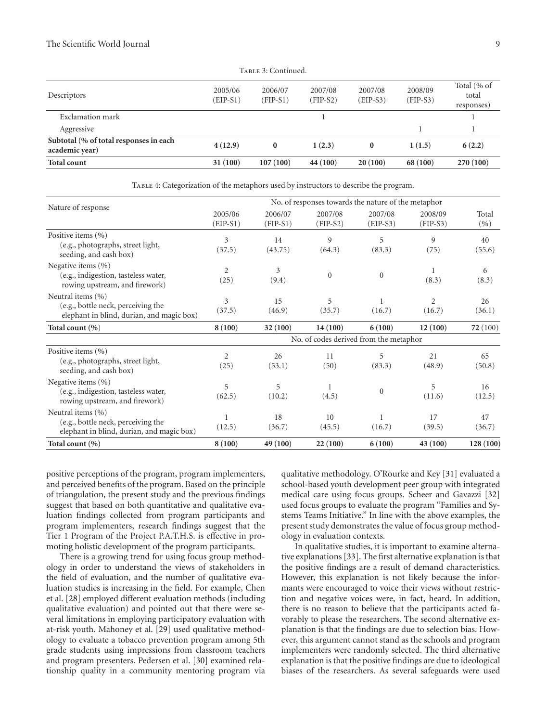#### The Scientific World Journal 9

Table 3: Continued.

| <b>Total count</b>                                       | 31(100)               | 107(100)              | 44 (100)              | 20(100)               | 68 (100)              | 270 (100)                          |
|----------------------------------------------------------|-----------------------|-----------------------|-----------------------|-----------------------|-----------------------|------------------------------------|
| Subtotal (% of total responses in each<br>academic year) | 4(12.9)               | $\bf{0}$              | 1(2.3)                | $\bf{0}$              | 1(1.5)                | 6(2.2)                             |
| Aggressive                                               |                       |                       |                       |                       |                       |                                    |
| Exclamation mark                                         |                       |                       |                       |                       |                       |                                    |
| Descriptors                                              | 2005/06<br>$(EIP-S1)$ | 2006/07<br>$(FIP-S1)$ | 2007/08<br>$(FIP-S2)$ | 2007/08<br>$(EIP-S3)$ | 2008/09<br>$(FIP-S3)$ | Total (% of<br>total<br>responses) |

Table 4: Categorization of the metaphors used by instructors to describe the program.

|                                                                                                          | No. of responses towards the nature of the metaphor |                       |                       |                       |                       |                |  |
|----------------------------------------------------------------------------------------------------------|-----------------------------------------------------|-----------------------|-----------------------|-----------------------|-----------------------|----------------|--|
| Nature of response                                                                                       | 2005/06<br>$(EIP-S1)$                               | 2006/07<br>$(FIP-S1)$ | 2007/08<br>$(FIP-S2)$ | 2007/08<br>$(EIP-S3)$ | 2008/09<br>$(FIP-S3)$ | Total<br>(9/0) |  |
| Positive items (%)<br>(e.g., photographs, street light,<br>seeding, and cash box)                        | 3<br>(37.5)                                         | 14<br>(43.75)         | 9<br>(64.3)           | 5<br>(83.3)           | 9<br>(75)             | 40<br>(55.6)   |  |
| Negative items (%)<br>(e.g., indigestion, tasteless water,<br>rowing upstream, and firework)             | 2<br>(25)                                           | 3<br>(9.4)            | $\overline{0}$        | $\Omega$              | (8.3)                 | 6<br>(8.3)     |  |
| Neutral items $(\% )$<br>(e.g., bottle neck, perceiving the<br>elephant in blind, durian, and magic box) | 3<br>(37.5)                                         | 15<br>(46.9)          | 5<br>(35.7)           | (16.7)                | 2<br>(16.7)           | 26<br>(36.1)   |  |
| Total count (%)                                                                                          | 8(100)                                              | 32(100)               | 14 (100)              | 6(100)                | 12(100)               | 72 (100)       |  |
|                                                                                                          | No. of codes derived from the metaphor              |                       |                       |                       |                       |                |  |
| Positive items (%)<br>(e.g., photographs, street light,<br>seeding, and cash box)                        | $\overline{c}$<br>(25)                              | 26<br>(53.1)          | 11<br>(50)            | 5<br>(83.3)           | 21<br>(48.9)          | 65<br>(50.8)   |  |
| Negative items $(\% )$<br>(e.g., indigestion, tasteless water,<br>rowing upstream, and firework)         | 5<br>(62.5)                                         | 5<br>(10.2)           | 1<br>(4.5)            | $\mathbf{0}$          | 5<br>(11.6)           | 16<br>(12.5)   |  |
| Neutral items $(\% )$<br>(e.g., bottle neck, perceiving the<br>elephant in blind, durian, and magic box) | (12.5)                                              | 18<br>(36.7)          | 10<br>(45.5)          | (16.7)                | 17<br>(39.5)          | 47<br>(36.7)   |  |
| Total count (%)                                                                                          | 8(100)                                              | 49 (100)              | 22(100)               | 6(100)                | 43 (100)              | 128 (100)      |  |

positive perceptions of the program, program implementers, and perceived benefits of the program. Based on the principle of triangulation, the present study and the previous findings suggest that based on both quantitative and qualitative evaluation findings collected from program participants and program implementers, research findings suggest that the Tier 1 Program of the Project P.A.T.H.S. is effective in promoting holistic development of the program participants.

There is a growing trend for using focus group methodology in order to understand the views of stakeholders in the field of evaluation, and the number of qualitative evaluation studies is increasing in the field. For example, Chen et al. [28] employed different evaluation methods (including qualitative evaluation) and pointed out that there were several limitations in employing participatory evaluation with at-risk youth. Mahoney et al. [29] used qualitative methodology to evaluate a tobacco prevention program among 5th grade students using impressions from classroom teachers and program presenters. Pedersen et al. [30] examined relationship quality in a community mentoring program via

qualitative methodology. O'Rourke and Key [31] evaluated a school-based youth development peer group with integrated medical care using focus groups. Scheer and Gavazzi [32] used focus groups to evaluate the program "Families and Systems Teams Initiative." In line with the above examples, the present study demonstrates the value of focus group methodology in evaluation contexts.

In qualitative studies, it is important to examine alternative explanations [33]. The first alternative explanation is that the positive findings are a result of demand characteristics. However, this explanation is not likely because the informants were encouraged to voice their views without restriction and negative voices were, in fact, heard. In addition, there is no reason to believe that the participants acted favorably to please the researchers. The second alternative explanation is that the findings are due to selection bias. However, this argument cannot stand as the schools and program implementers were randomly selected. The third alternative explanation is that the positive findings are due to ideological biases of the researchers. As several safeguards were used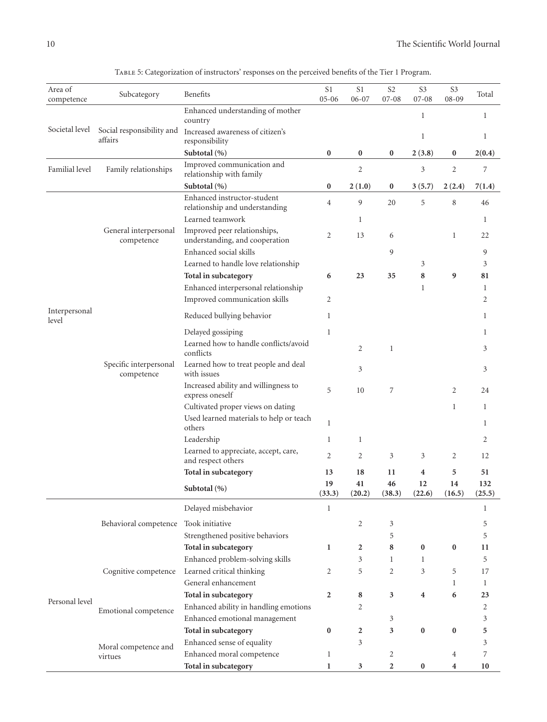| $05 - 06$<br>06-07<br>$07 - 08$<br>$07 - 08$<br>$08 - 09$<br>competence<br>Enhanced understanding of mother<br>$\mathbf{1}$<br>$\mathbf 1$<br>country<br>Societal level<br>Social responsibility and<br>Increased awareness of citizen's<br>1<br>$\mathbf{1}$<br>affairs<br>responsibility<br>Subtotal (%)<br>0<br>$\bf{0}$<br>0<br>2(3.8)<br>$\boldsymbol{0}$<br>2(0.4)<br>Improved communication and<br>$\sqrt{2}$<br>Familial level<br>Family relationships<br>3<br>2<br>7<br>relationship with family<br>Subtotal (%)<br>2(1.0)<br>3(5.7)<br>0<br>0<br>2(2.4)<br>7(1.4)<br>Enhanced instructor-student<br>8<br>9<br>20<br>5<br>4<br>46<br>relationship and understanding<br>Learned teamwork<br>1<br>1<br>Improved peer relationships,<br>General interpersonal<br>13<br>2<br>$\mathbf{1}$<br>6<br>22<br>understanding, and cooperation<br>competence<br>Enhanced social skills<br>9<br>9<br>Learned to handle love relationship<br>3<br>3<br>9<br>Total in subcategory<br>23<br>8<br>35<br>81<br>6<br>Enhanced interpersonal relationship<br>$\mathbf{1}$<br>$\mathbf{1}$<br>2<br>Improved communication skills<br>2<br>Interpersonal<br>Reduced bullying behavior<br>$\mathbf{1}$<br>1<br>level<br>Delayed gossiping<br>1<br>1<br>Learned how to handle conflicts/avoid<br>$\overline{2}$<br>1<br>3 | Area of |             |           | $\sqrt{S}1$ | S1 | $\mathsf{S2}\,$ | S <sub>3</sub> | S <sub>3</sub> |       |
|-----------------------------------------------------------------------------------------------------------------------------------------------------------------------------------------------------------------------------------------------------------------------------------------------------------------------------------------------------------------------------------------------------------------------------------------------------------------------------------------------------------------------------------------------------------------------------------------------------------------------------------------------------------------------------------------------------------------------------------------------------------------------------------------------------------------------------------------------------------------------------------------------------------------------------------------------------------------------------------------------------------------------------------------------------------------------------------------------------------------------------------------------------------------------------------------------------------------------------------------------------------------------------------------------------------|---------|-------------|-----------|-------------|----|-----------------|----------------|----------------|-------|
|                                                                                                                                                                                                                                                                                                                                                                                                                                                                                                                                                                                                                                                                                                                                                                                                                                                                                                                                                                                                                                                                                                                                                                                                                                                                                                           |         | Subcategory | Benefits  |             |    |                 |                |                | Total |
|                                                                                                                                                                                                                                                                                                                                                                                                                                                                                                                                                                                                                                                                                                                                                                                                                                                                                                                                                                                                                                                                                                                                                                                                                                                                                                           |         |             |           |             |    |                 |                |                |       |
|                                                                                                                                                                                                                                                                                                                                                                                                                                                                                                                                                                                                                                                                                                                                                                                                                                                                                                                                                                                                                                                                                                                                                                                                                                                                                                           |         |             |           |             |    |                 |                |                |       |
|                                                                                                                                                                                                                                                                                                                                                                                                                                                                                                                                                                                                                                                                                                                                                                                                                                                                                                                                                                                                                                                                                                                                                                                                                                                                                                           |         |             |           |             |    |                 |                |                |       |
|                                                                                                                                                                                                                                                                                                                                                                                                                                                                                                                                                                                                                                                                                                                                                                                                                                                                                                                                                                                                                                                                                                                                                                                                                                                                                                           |         |             |           |             |    |                 |                |                |       |
|                                                                                                                                                                                                                                                                                                                                                                                                                                                                                                                                                                                                                                                                                                                                                                                                                                                                                                                                                                                                                                                                                                                                                                                                                                                                                                           |         |             |           |             |    |                 |                |                |       |
|                                                                                                                                                                                                                                                                                                                                                                                                                                                                                                                                                                                                                                                                                                                                                                                                                                                                                                                                                                                                                                                                                                                                                                                                                                                                                                           |         |             |           |             |    |                 |                |                |       |
|                                                                                                                                                                                                                                                                                                                                                                                                                                                                                                                                                                                                                                                                                                                                                                                                                                                                                                                                                                                                                                                                                                                                                                                                                                                                                                           |         |             |           |             |    |                 |                |                |       |
|                                                                                                                                                                                                                                                                                                                                                                                                                                                                                                                                                                                                                                                                                                                                                                                                                                                                                                                                                                                                                                                                                                                                                                                                                                                                                                           |         |             |           |             |    |                 |                |                |       |
|                                                                                                                                                                                                                                                                                                                                                                                                                                                                                                                                                                                                                                                                                                                                                                                                                                                                                                                                                                                                                                                                                                                                                                                                                                                                                                           |         |             |           |             |    |                 |                |                |       |
|                                                                                                                                                                                                                                                                                                                                                                                                                                                                                                                                                                                                                                                                                                                                                                                                                                                                                                                                                                                                                                                                                                                                                                                                                                                                                                           |         |             |           |             |    |                 |                |                |       |
|                                                                                                                                                                                                                                                                                                                                                                                                                                                                                                                                                                                                                                                                                                                                                                                                                                                                                                                                                                                                                                                                                                                                                                                                                                                                                                           |         |             |           |             |    |                 |                |                |       |
|                                                                                                                                                                                                                                                                                                                                                                                                                                                                                                                                                                                                                                                                                                                                                                                                                                                                                                                                                                                                                                                                                                                                                                                                                                                                                                           |         |             |           |             |    |                 |                |                |       |
|                                                                                                                                                                                                                                                                                                                                                                                                                                                                                                                                                                                                                                                                                                                                                                                                                                                                                                                                                                                                                                                                                                                                                                                                                                                                                                           |         |             |           |             |    |                 |                |                |       |
|                                                                                                                                                                                                                                                                                                                                                                                                                                                                                                                                                                                                                                                                                                                                                                                                                                                                                                                                                                                                                                                                                                                                                                                                                                                                                                           |         |             |           |             |    |                 |                |                |       |
|                                                                                                                                                                                                                                                                                                                                                                                                                                                                                                                                                                                                                                                                                                                                                                                                                                                                                                                                                                                                                                                                                                                                                                                                                                                                                                           |         |             |           |             |    |                 |                |                |       |
|                                                                                                                                                                                                                                                                                                                                                                                                                                                                                                                                                                                                                                                                                                                                                                                                                                                                                                                                                                                                                                                                                                                                                                                                                                                                                                           |         |             | conflicts |             |    |                 |                |                |       |
| Specific interpersonal<br>Learned how to treat people and deal<br>3<br>3<br>with issues<br>competence                                                                                                                                                                                                                                                                                                                                                                                                                                                                                                                                                                                                                                                                                                                                                                                                                                                                                                                                                                                                                                                                                                                                                                                                     |         |             |           |             |    |                 |                |                |       |
| Increased ability and willingness to<br>5<br>10<br>7<br>$\overline{c}$<br>24<br>express oneself                                                                                                                                                                                                                                                                                                                                                                                                                                                                                                                                                                                                                                                                                                                                                                                                                                                                                                                                                                                                                                                                                                                                                                                                           |         |             |           |             |    |                 |                |                |       |
| Cultivated proper views on dating<br>$\mathbf{1}$<br>$\mathbf{1}$                                                                                                                                                                                                                                                                                                                                                                                                                                                                                                                                                                                                                                                                                                                                                                                                                                                                                                                                                                                                                                                                                                                                                                                                                                         |         |             |           |             |    |                 |                |                |       |
| Used learned materials to help or teach<br>1<br>1<br>others                                                                                                                                                                                                                                                                                                                                                                                                                                                                                                                                                                                                                                                                                                                                                                                                                                                                                                                                                                                                                                                                                                                                                                                                                                               |         |             |           |             |    |                 |                |                |       |
| Leadership<br>1<br>2<br>1                                                                                                                                                                                                                                                                                                                                                                                                                                                                                                                                                                                                                                                                                                                                                                                                                                                                                                                                                                                                                                                                                                                                                                                                                                                                                 |         |             |           |             |    |                 |                |                |       |
| Learned to appreciate, accept, care,<br>2<br>$\overline{c}$<br>2<br>3<br>3<br>12<br>and respect others                                                                                                                                                                                                                                                                                                                                                                                                                                                                                                                                                                                                                                                                                                                                                                                                                                                                                                                                                                                                                                                                                                                                                                                                    |         |             |           |             |    |                 |                |                |       |
| Total in subcategory<br>18<br>5<br>51<br>13<br>11<br>4                                                                                                                                                                                                                                                                                                                                                                                                                                                                                                                                                                                                                                                                                                                                                                                                                                                                                                                                                                                                                                                                                                                                                                                                                                                    |         |             |           |             |    |                 |                |                |       |
| 19<br>12<br>14<br>132<br>41<br>46<br>Subtotal (%)<br>(33.3)<br>(20.2)<br>(38.3)<br>(22.6)<br>(16.5)<br>(25.5)                                                                                                                                                                                                                                                                                                                                                                                                                                                                                                                                                                                                                                                                                                                                                                                                                                                                                                                                                                                                                                                                                                                                                                                             |         |             |           |             |    |                 |                |                |       |
| Delayed misbehavior<br>$\mathbf{1}$<br>1                                                                                                                                                                                                                                                                                                                                                                                                                                                                                                                                                                                                                                                                                                                                                                                                                                                                                                                                                                                                                                                                                                                                                                                                                                                                  |         |             |           |             |    |                 |                |                |       |
| Took initiative<br>Behavioral competence<br>2<br>3<br>5                                                                                                                                                                                                                                                                                                                                                                                                                                                                                                                                                                                                                                                                                                                                                                                                                                                                                                                                                                                                                                                                                                                                                                                                                                                   |         |             |           |             |    |                 |                |                |       |
| Strengthened positive behaviors<br>5<br>5                                                                                                                                                                                                                                                                                                                                                                                                                                                                                                                                                                                                                                                                                                                                                                                                                                                                                                                                                                                                                                                                                                                                                                                                                                                                 |         |             |           |             |    |                 |                |                |       |
| Total in subcategory<br>8<br>$\mathbf{1}$<br>$\overline{2}$<br>0<br>$\boldsymbol{0}$<br>11                                                                                                                                                                                                                                                                                                                                                                                                                                                                                                                                                                                                                                                                                                                                                                                                                                                                                                                                                                                                                                                                                                                                                                                                                |         |             |           |             |    |                 |                |                |       |
| Enhanced problem-solving skills<br>3<br>5<br>1<br>1                                                                                                                                                                                                                                                                                                                                                                                                                                                                                                                                                                                                                                                                                                                                                                                                                                                                                                                                                                                                                                                                                                                                                                                                                                                       |         |             |           |             |    |                 |                |                |       |
| Learned critical thinking<br>$\overline{2}$<br>$\overline{2}$<br>5<br>3<br>5<br>Cognitive competence<br>17                                                                                                                                                                                                                                                                                                                                                                                                                                                                                                                                                                                                                                                                                                                                                                                                                                                                                                                                                                                                                                                                                                                                                                                                |         |             |           |             |    |                 |                |                |       |
| General enhancement<br>$\mathbf{1}$<br>$\mathbf{1}$                                                                                                                                                                                                                                                                                                                                                                                                                                                                                                                                                                                                                                                                                                                                                                                                                                                                                                                                                                                                                                                                                                                                                                                                                                                       |         |             |           |             |    |                 |                |                |       |
| Total in subcategory<br>$\overline{2}$<br>8<br>3<br>6<br>4<br>23                                                                                                                                                                                                                                                                                                                                                                                                                                                                                                                                                                                                                                                                                                                                                                                                                                                                                                                                                                                                                                                                                                                                                                                                                                          |         |             |           |             |    |                 |                |                |       |
| Personal level<br>Enhanced ability in handling emotions<br>2<br>2                                                                                                                                                                                                                                                                                                                                                                                                                                                                                                                                                                                                                                                                                                                                                                                                                                                                                                                                                                                                                                                                                                                                                                                                                                         |         |             |           |             |    |                 |                |                |       |
| Emotional competence<br>Enhanced emotional management<br>3<br>3                                                                                                                                                                                                                                                                                                                                                                                                                                                                                                                                                                                                                                                                                                                                                                                                                                                                                                                                                                                                                                                                                                                                                                                                                                           |         |             |           |             |    |                 |                |                |       |
| Total in subcategory<br>3<br>$\bf{0}$<br>$\bf{0}$<br>0<br>$\boldsymbol{2}$<br>5                                                                                                                                                                                                                                                                                                                                                                                                                                                                                                                                                                                                                                                                                                                                                                                                                                                                                                                                                                                                                                                                                                                                                                                                                           |         |             |           |             |    |                 |                |                |       |
| Enhanced sense of equality<br>3<br>3                                                                                                                                                                                                                                                                                                                                                                                                                                                                                                                                                                                                                                                                                                                                                                                                                                                                                                                                                                                                                                                                                                                                                                                                                                                                      |         |             |           |             |    |                 |                |                |       |
| Moral competence and<br>Enhanced moral competence<br>7<br>$\mathbf{1}$<br>2<br>4                                                                                                                                                                                                                                                                                                                                                                                                                                                                                                                                                                                                                                                                                                                                                                                                                                                                                                                                                                                                                                                                                                                                                                                                                          |         |             |           |             |    |                 |                |                |       |
| virtues<br>Total in subcategory<br>$\overline{2}$<br>$\bf{0}$<br>$\overline{\mathbf{4}}$<br>1<br>3<br>10                                                                                                                                                                                                                                                                                                                                                                                                                                                                                                                                                                                                                                                                                                                                                                                                                                                                                                                                                                                                                                                                                                                                                                                                  |         |             |           |             |    |                 |                |                |       |

Table 5: Categorization of instructors' responses on the perceived benefits of the Tier 1 Program.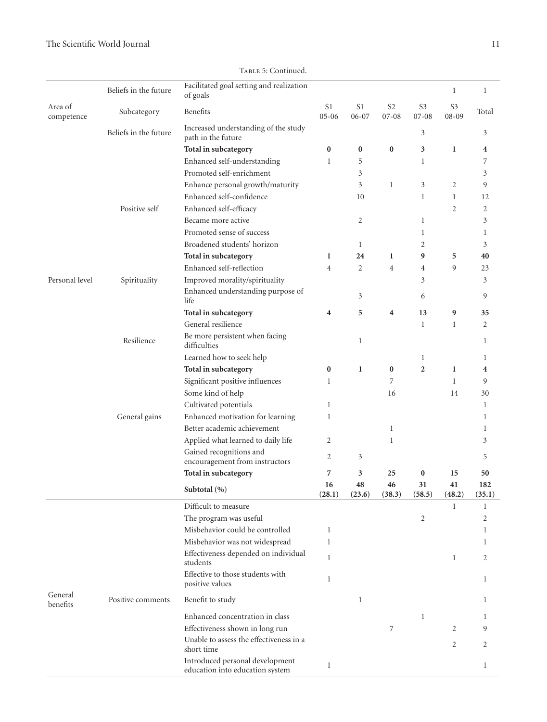|                       | Beliefs in the future | Facilitated goal setting and realization<br>of goals               |                 |                         |                             |                             | 1                           | $\mathbf{1}$  |
|-----------------------|-----------------------|--------------------------------------------------------------------|-----------------|-------------------------|-----------------------------|-----------------------------|-----------------------------|---------------|
| Area of<br>competence | Subcategory           | Benefits                                                           | S1<br>$05 - 06$ | S <sub>1</sub><br>06-07 | S <sub>2</sub><br>$07 - 08$ | S <sub>3</sub><br>$07 - 08$ | S <sub>3</sub><br>$08 - 09$ | Total         |
|                       | Beliefs in the future | Increased understanding of the study<br>path in the future         |                 |                         |                             | 3                           |                             | 3             |
|                       |                       | Total in subcategory                                               | $\bf{0}$        | $\bf{0}$                | $\bf{0}$                    | 3                           | $\mathbf{1}$                | 4             |
|                       |                       | Enhanced self-understanding                                        | 1               | 5                       |                             | $\mathbf{1}$                |                             | 7             |
|                       |                       | Promoted self-enrichment                                           |                 | 3                       |                             |                             |                             | 3             |
|                       |                       | Enhance personal growth/maturity                                   |                 | 3                       | $\mathbf{1}$                | 3                           | $\overline{2}$              | 9             |
|                       |                       | Enhanced self-confidence                                           |                 | 10                      |                             | $\mathbf{1}$                | $\mathbf{1}$                | 12            |
|                       | Positive self         | Enhanced self-efficacy                                             |                 |                         |                             |                             | $\overline{2}$              | 2             |
|                       |                       | Became more active                                                 |                 | 2                       |                             | $\mathbf{1}$                |                             | 3             |
|                       |                       | Promoted sense of success                                          |                 |                         |                             | $\mathbf{1}$                |                             | 1             |
|                       |                       | Broadened students' horizon                                        |                 | 1                       |                             | 2                           |                             | 3             |
|                       |                       | Total in subcategory                                               | 1               | 24                      | $\mathbf{1}$                | 9                           | 5                           | 40            |
|                       |                       | Enhanced self-reflection                                           | 4               | $\overline{2}$          | $\overline{4}$              | 4                           | 9                           | 23            |
| Personal level        | Spirituality          | Improved morality/spirituality                                     |                 |                         |                             | 3                           |                             | 3             |
|                       |                       | Enhanced understanding purpose of                                  |                 |                         |                             |                             |                             |               |
|                       |                       | life                                                               |                 | 3                       |                             | 6                           |                             | 9             |
|                       |                       | Total in subcategory                                               | 4               | 5                       | 4                           | 13                          | 9                           | 35            |
|                       |                       | General resilience                                                 |                 |                         |                             | $\mathbf{1}$                | $\mathbf{1}$                | 2             |
|                       | Resilience            | Be more persistent when facing<br>difficulties                     |                 | 1                       |                             |                             |                             | 1             |
|                       |                       | Learned how to seek help                                           |                 |                         |                             | 1                           |                             | 1             |
|                       |                       | Total in subcategory                                               | $\bf{0}$        | $\mathbf{1}$            | $\bf{0}$                    | $\overline{2}$              | $\mathbf{1}$                | 4             |
|                       |                       | Significant positive influences                                    | 1               |                         | 7                           |                             | $\mathbf{1}$                | 9             |
|                       |                       | Some kind of help                                                  |                 |                         | 16                          |                             | 14                          | 30            |
|                       |                       | Cultivated potentials                                              | 1               |                         |                             |                             |                             | 1             |
|                       | General gains         | Enhanced motivation for learning                                   | 1               |                         |                             |                             |                             | 1             |
|                       |                       | Better academic achievement                                        |                 |                         | 1                           |                             |                             | 1             |
|                       |                       | Applied what learned to daily life                                 | 2               |                         | $\mathbf{1}$                |                             |                             | 3             |
|                       |                       | Gained recognitions and<br>encouragement from instructors          | 2               | 3                       |                             |                             |                             | 5             |
|                       |                       | Total in subcategory                                               | 7               | 3                       | 25                          | $\bf{0}$                    | 15                          | 50            |
|                       |                       | Subtotal (%)                                                       | 16<br>(28.1)    | 48<br>(23.6)            | 46<br>(38.3)                | 31<br>(58.5)                | 41<br>(48.2)                | 182<br>(35.1) |
|                       |                       | Difficult to measure                                               |                 |                         |                             |                             | $\mathbf{1}$                | $\mathbf{1}$  |
|                       |                       | The program was useful                                             |                 |                         |                             | 2                           |                             | 2             |
|                       |                       | Misbehavior could be controlled                                    | $\mathbf{1}$    |                         |                             |                             |                             | 1             |
|                       |                       | Misbehavior was not widespread                                     | 1               |                         |                             |                             |                             | 1             |
|                       |                       | Effectiveness depended on individual<br>students                   | $\mathbf{1}$    |                         |                             |                             | $\mathbf{1}$                | 2             |
|                       |                       | Effective to those students with<br>positive values                | 1               |                         |                             |                             |                             | 1             |
| General<br>benefits   | Positive comments     | Benefit to study                                                   |                 | 1                       |                             |                             |                             | 1             |
|                       |                       | Enhanced concentration in class                                    |                 |                         |                             | 1                           |                             | 1             |
|                       |                       | Effectiveness shown in long run                                    |                 |                         | 7                           |                             | 2                           | 9             |
|                       |                       | Unable to assess the effectiveness in a<br>short time              |                 |                         |                             |                             | $\overline{c}$              | 2             |
|                       |                       | Introduced personal development<br>education into education system | $\mathbf{1}$    |                         |                             |                             |                             | 1             |

## TABLE 5: Continued.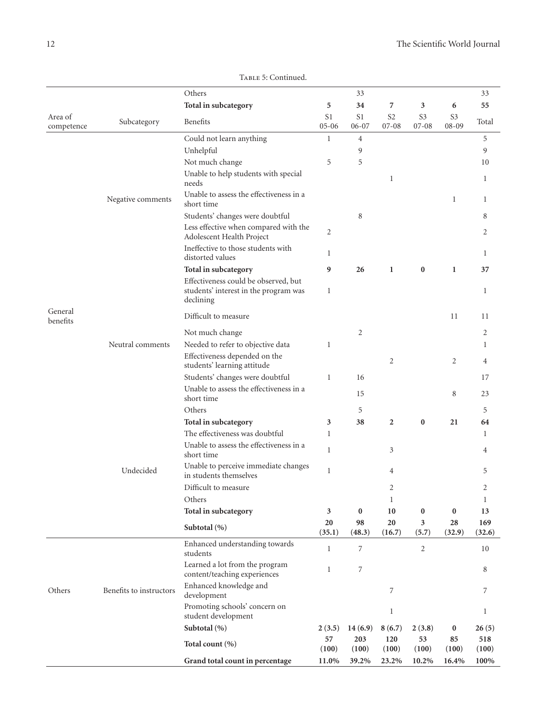|                       |                         | Others                                                                                     |                 | 33             |                             |                             |                             | 33            |
|-----------------------|-------------------------|--------------------------------------------------------------------------------------------|-----------------|----------------|-----------------------------|-----------------------------|-----------------------------|---------------|
|                       |                         | Total in subcategory                                                                       | 5               | 34             | $\overline{7}$              | 3                           | 6                           | 55            |
| Area of<br>competence | Subcategory             | <b>Benefits</b>                                                                            | S1<br>$05 - 06$ | S1<br>06-07    | S <sub>2</sub><br>$07 - 08$ | S <sub>3</sub><br>$07 - 08$ | S <sub>3</sub><br>$08 - 09$ | Total         |
|                       |                         | Could not learn anything                                                                   | 1               | $\overline{4}$ |                             |                             |                             | 5             |
|                       |                         | Unhelpful                                                                                  |                 | 9              |                             |                             |                             | 9             |
|                       |                         | Not much change                                                                            | 5               | 5              |                             |                             |                             | 10            |
|                       |                         | Unable to help students with special<br>needs                                              |                 |                | 1                           |                             |                             | 1             |
|                       | Negative comments       | Unable to assess the effectiveness in a<br>short time                                      |                 |                |                             |                             | $\mathbf{1}$                | 1             |
|                       |                         | Students' changes were doubtful                                                            |                 | 8              |                             |                             |                             | 8             |
|                       |                         | Less effective when compared with the<br>Adolescent Health Project                         | $\overline{2}$  |                |                             |                             |                             | 2             |
|                       |                         | Ineffective to those students with<br>distorted values                                     | $\mathbf{1}$    |                |                             |                             |                             | 1             |
|                       |                         | Total in subcategory                                                                       | 9               | 26             | $\mathbf{1}$                | $\bf{0}$                    | $\mathbf{1}$                | 37            |
|                       |                         | Effectiveness could be observed, but<br>students' interest in the program was<br>declining | 1               |                |                             |                             |                             | 1             |
| General<br>benefits   |                         | Difficult to measure                                                                       |                 |                |                             |                             | 11                          | 11            |
|                       |                         | Not much change                                                                            |                 | 2              |                             |                             |                             | 2             |
|                       | Neutral comments        | Needed to refer to objective data                                                          | 1               |                |                             |                             |                             | 1             |
|                       |                         | Effectiveness depended on the<br>students' learning attitude                               |                 |                | 2                           |                             | $\overline{2}$              | 4             |
|                       |                         | Students' changes were doubtful                                                            | 1               | 16             |                             |                             |                             | 17            |
|                       |                         | Unable to assess the effectiveness in a<br>short time                                      |                 | 15             |                             |                             | 8                           | 23            |
|                       |                         | Others                                                                                     |                 | 5              |                             |                             |                             | 5             |
|                       |                         | Total in subcategory                                                                       | 3               | 38             | 2                           | $\bf{0}$                    | 21                          | 64            |
|                       |                         | The effectiveness was doubtful                                                             | 1               |                |                             |                             |                             | 1             |
|                       |                         | Unable to assess the effectiveness in a<br>short time                                      | $\mathbf{1}$    |                | 3                           |                             |                             | 4             |
|                       | Undecided               | Unable to perceive immediate changes<br>in students themselves                             | 1               |                | 4                           |                             |                             | 5             |
|                       |                         | Difficult to measure                                                                       |                 |                | 2                           |                             |                             | 2             |
|                       |                         | Others                                                                                     |                 |                | $\mathbf{1}$                |                             |                             | $\mathbf{1}$  |
|                       |                         | Total in subcategory                                                                       | 3               | $\bf{0}$       | 10                          | $\boldsymbol{0}$            | $\bf{0}$                    | 13            |
|                       |                         | Subtotal (%)                                                                               | 20<br>(35.1)    | 98<br>(48.3)   | 20<br>(16.7)                | 3<br>(5.7)                  | 28<br>(32.9)                | 169<br>(32.6) |
|                       |                         | Enhanced understanding towards<br>students                                                 | $\mathbf{1}$    | 7              |                             | $\overline{c}$              |                             | 10            |
|                       |                         | Learned a lot from the program<br>content/teaching experiences                             | $\mathbf{1}$    | 7              |                             |                             |                             | 8             |
| Others                | Benefits to instructors | Enhanced knowledge and<br>development                                                      |                 |                | 7                           |                             |                             | 7             |
|                       |                         | Promoting schools' concern on<br>student development                                       |                 |                | $\mathbf{1}$                |                             |                             | 1             |
|                       |                         | Subtotal (%)                                                                               | 2(3.5)          | 14(6.9)        | 8(6.7)                      | 2(3.8)                      | $\bf{0}$                    | 26(5)         |
|                       |                         | Total count (%)                                                                            | 57<br>(100)     | 203<br>(100)   | 120<br>(100)                | 53<br>(100)                 | 85<br>(100)                 | 518<br>(100)  |
|                       |                         | Grand total count in percentage                                                            | 11.0%           | 39.2%          | 23.2%                       | 10.2%                       | 16.4%                       | 100%          |

|  | Тавье 5: Continued. |
|--|---------------------|
|--|---------------------|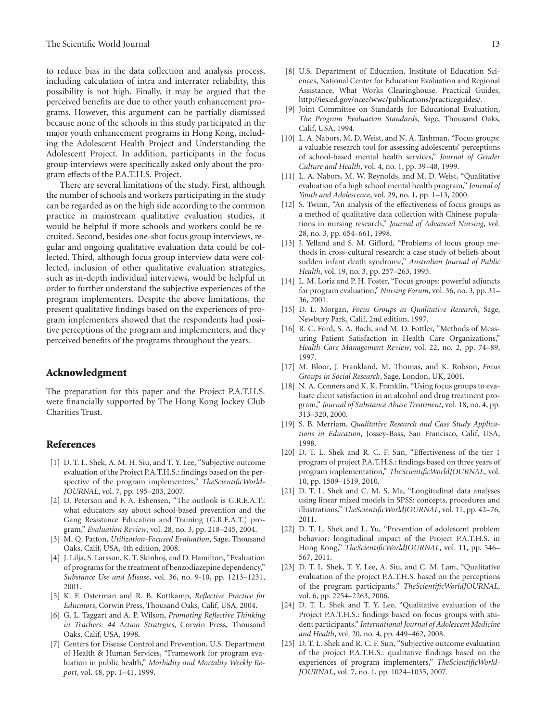to reduce bias in the data collection and analysis process, including calculation of intra and interrater reliability, this possibility is not high. Finally, it may be argued that the perceived benefits are due to other youth enhancement programs. However, this argument can be partially dismissed because none of the schools in this study participated in the major youth enhancement programs in Hong Kong, including the Adolescent Health Project and Understanding the Adolescent Project. In addition, participants in the focus group interviews were specifically asked only about the program effects of the P.A.T.H.S. Project.

There are several limitations of the study. First, although the number of schools and workers participating in the study can be regarded as on the high side according to the common practice in mainstream qualitative evaluation studies, it would be helpful if more schools and workers could be recruited. Second, besides one-shot focus group interviews, regular and ongoing qualitative evaluation data could be collected. Third, although focus group interview data were collected, inclusion of other qualitative evaluation strategies, such as in-depth individual interviews, would be helpful in order to further understand the subjective experiences of the program implementers. Despite the above limitations, the present qualitative findings based on the experiences of program implementers showed that the respondents had positive perceptions of the program and implementers, and they perceived benefits of the programs throughout the years.

## **Acknowledgment**

The preparation for this paper and the Project P.A.T.H.S. were financially supported by The Hong Kong Jockey Club Charities Trust.

#### **References**

- [1] D. T. L. Shek, A. M. H. Siu, and T. Y. Lee, "Subjective outcome evaluation of the Project P.A.T.H.S.: findings based on the perspective of the program implementers," *TheScientificWorld-JOURNAL*, vol. 7, pp. 195–203, 2007.
- [2] D. Peterson and F. A. Esbensen, "The outlook is G.R.E.A.T.: what educators say about school-based prevention and the Gang Resistance Education and Training (G.R.E.A.T.) program," *Evaluation Review*, vol. 28, no. 3, pp. 218–245, 2004.
- [3] M. Q. Patton, *Utilization-Focused Evaluation*, Sage, Thousand Oaks, Calif, USA, 4th edition, 2008.
- [4] J. Lilja, S. Larsson, K. T. Skinhoj, and D. Hamilton, "Evaluation" of programs for the treatment of benzodiazepine dependency," *Substance Use and Misuse*, vol. 36, no. 9-10, pp. 1213–1231, 2001.
- [5] K. F. Osterman and R. B. Kottkamp, *Reflective Practice for Educators*, Corwin Press, Thousand Oaks, Calif, USA, 2004.
- [6] G. L. Taggart and A. P. Wilson, *Promoting Reflective Thinking in Teachers: 44 Action Strategies*, Corwin Press, Thousand Oaks, Calif, USA, 1998.
- [7] Centers for Disease Control and Prevention, U.S. Department of Health & Human Services, "Framework for program evaluation in public health," *Morbidity and Mortality Weekly Report*, vol. 48, pp. 1–41, 1999.
- [8] U.S. Department of Education, Institute of Education Sciences, National Center for Education Evaluation and Regional Assistance, What Works Clearinghouse. Practical Guides, http://ies.ed.gov/ncee/wwc/publications/practiceguides/.
- [9] Joint Committee on Standards for Educational Evaluation, *The Program Evaluation Standards*, Sage, Thousand Oaks, Calif, USA, 1994.
- [10] L. A. Nabors, M. D. Weist, and N. A. Tashman, "Focus groups: a valuable research tool for assessing adolescents' perceptions of school-based mental health services," *Journal of Gender Culture and Health*, vol. 4, no. 1, pp. 39–48, 1999.
- [11] L. A. Nabors, M. W. Reynolds, and M. D. Weist, "Qualitative evaluation of a high school mental health program," *Journal of Youth and Adolescence*, vol. 29, no. 1, pp. 1–13, 2000.
- [12] S. Twinn, "An analysis of the effectiveness of focus groups as a method of qualitative data collection with Chinese populations in nursing research," *Journal of Advanced Nursing*, vol. 28, no. 3, pp. 654–661, 1998.
- [13] J. Yelland and S. M. Gifford, "Problems of focus group methods in cross-cultural research: a case study of beliefs about sudden infant death syndrome," *Australian Journal of Public Health*, vol. 19, no. 3, pp. 257–263, 1995.
- [14] L. M. Loriz and P. H. Foster, "Focus groups: powerful adjuncts for program evaluation," *Nursing Forum*, vol. 36, no. 3, pp. 31– 36, 2001.
- [15] D. L. Morgan, *Focus Groups as Qualitative Research*, Sage, Newbury Park, Calif, 2nd edition, 1997.
- [16] R. C. Ford, S. A. Bach, and M. D. Fottler, "Methods of Measuring Patient Satisfaction in Health Care Organizations," *Health Care Management Review*, vol. 22, no. 2, pp. 74–89, 1997.
- [17] M. Bloor, J. Frankland, M. Thomas, and K. Robson, *Focus Groups in Social Research*, Sage, London, UK, 2001.
- [18] N. A. Conners and K. K. Franklin, "Using focus groups to evaluate client satisfaction in an alcohol and drug treatment program," *Journal of Substance Abuse Treatment*, vol. 18, no. 4, pp. 313–320, 2000.
- [19] S. B. Merriam, *Qualitative Research and Case Study Applications in Education*, Jossey-Bass, San Francisco, Calif, USA, 1998.
- [20] D. T. L. Shek and R. C. F. Sun, "Effectiveness of the tier 1 program of project P.A.T.H.S.: findings based on three years of program implementation," *TheScientificWorldJOURNAL*, vol. 10, pp. 1509–1519, 2010.
- [21] D. T. L. Shek and C. M. S. Ma, "Longitudinal data analyses using linear mixed models in SPSS: concepts, procedures and illustrations," *TheScientificWorldJOURNAL*, vol. 11, pp. 42–76, 2011.
- [22] D. T. L. Shek and L. Yu, "Prevention of adolescent problem behavior: longitudinal impact of the Project P.A.T.H.S. in Hong Kong," *TheScientificWorldJOURNAL*, vol. 11, pp. 546– 567, 2011.
- [23] D. T. L. Shek, T. Y. Lee, A. Siu, and C. M. Lam, "Qualitative evaluation of the project P.A.T.H.S. based on the perceptions of the program participants," *TheScientificWorldJOURNAL*, vol. 6, pp. 2254–2263, 2006.
- [24] D. T. L. Shek and T. Y. Lee, "Qualitative evaluation of the Project P.A.T.H.S.: findings based on focus groups with student participants," *International Journal of Adolescent Medicine and Health*, vol. 20, no. 4, pp. 449–462, 2008.
- [25] D. T. L. Shek and R. C. F. Sun, "Subjective outcome evaluation of the project P.A.T.H.S.: qualitative findings based on the experiences of program implementers," *TheScientificWorld-JOURNAL*, vol. 7, no. 1, pp. 1024–1035, 2007.